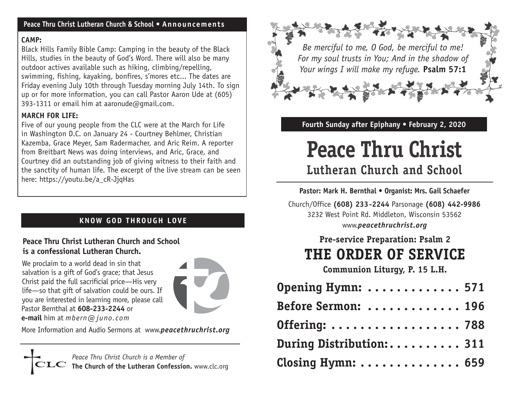#### **Peace Thru Christ Lutheran Church & School • Announcements**

#### **CAMP:**

Black Hills Family Bible Camp: Camping in the beauty of the Black Hills, studies in the beauty of God's Word. There will also be many outdoor actives available such as hiking, climbing/repelling, swimming, fishing, kayaking, bonfires, s'mores etc... The dates are Friday evening July 10th through Tuesday morning July 14th. To sign up or for more information, you can call Pastor Aaron Ude at (605) 393-1311 or email him at aaronude@gmail.com.

### **MARCH FOR LIFE:**

Five of our young people from the CLC were at the March for Life in Washington D.C. on January 24 - Courtney Behlmer, Christian Kazemba, Grace Meyer, Sam Radermacher, and Aric Reim. A reporter from Breitbart News was doing interviews, and Aric, Grace, and Courtney did an outstanding job of giving witness to their faith and the sanctity of human life. The excerpt of the live stream can be seen here: https://youtu.be/a\_cR-JjqHas

# **KNOW GOD THROUGH LOVE**

#### **Peace Thru Christ Lutheran Church and School is a confessional Lutheran Church.**

We proclaim to a world dead in sin that salvation is a gift of God's grace; that Jesus Christ paid the full sacrificial price—His very life—so that gift of salvation could be ours. If you are interested in learning more, please call Pastor Bernthal at **608-233-2244** or **e-mail** him at *mbern@ juno.com*



More Information and Audio Sermons at www.*peacethruchrist.org*

*Peace Thru Christ Church is a Member of*  **The Church of the Lutheran Confession.** www.clc.org



#### **Fourth Sunday after Epiphany • February 2, 2020**

# **Peace Thru Christ Lutheran Church and School**

#### **Pastor: Mark H. Bernthal • Organist: Mrs. Gail Schaefer**

Church/Office **(608) 233-2244** Parsonage **(608) 442-9986** 3232 West Point Rd. Middleton, Wisconsin 53562 www.*peacethruchrist.org* 

# **Pre-service Preparation: Psalm 2 THE ORDER OF SERVICE**

**Communion Liturgy, P. 15 L.H.** 

| Opening Hymn:  571       |  |
|--------------------------|--|
| Before Sermon:  196      |  |
| Offering:  788           |  |
| During Distribution: 311 |  |
| Closing Hymn:  659       |  |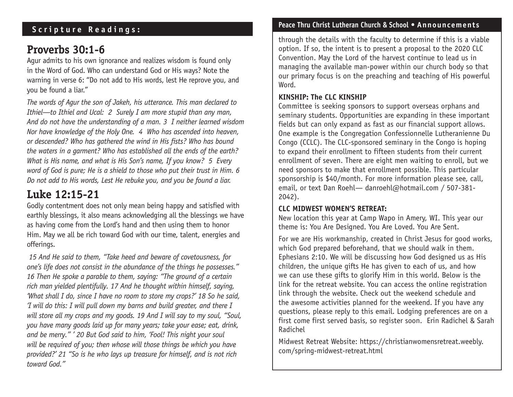## **Scripture Readings:**

# **Proverbs 30:1-6**

Agur admits to his own ignorance and realizes wisdom is found only in the Word of God. Who can understand God or His ways? Note the warning in verse 6: "Do not add to His words, lest He reprove you, and you be found a liar."

*The words of Agur the son of Jakeh, his utterance. This man declared to Ithiel—to Ithiel and Ucal: 2 Surely I am more stupid than any man, And do not have the understanding of a man. 3 I neither learned wisdom Nor have knowledge of the Holy One. 4 Who has ascended into heaven, or descended? Who has gathered the wind in His fists? Who has bound the waters in a garment? Who has established all the ends of the earth? What is His name, and what is His Son's name, If you know? 5 Every word of God is pure; He is a shield to those who put their trust in Him. 6 Do not add to His words, Lest He rebuke you, and you be found a liar.*

# **Luke 12:15-21**

Godly contentment does not only mean being happy and satisfied with earthly blessings, it also means acknowledging all the blessings we have as having come from the Lord's hand and then using them to honor Him. May we all be rich toward God with our time, talent, energies and offerings.

 *15 And He said to them, "Take heed and beware of covetousness, for one's life does not consist in the abundance of the things he possesses." 16 Then He spoke a parable to them, saying: "The ground of a certain rich man yielded plentifully. 17 And he thought within himself, saying, 'What shall I do, since I have no room to store my crops?' 18 So he said, 'I will do this: I will pull down my barns and build greater, and there I will store all my crops and my goods. 19 And I will say to my soul, "Soul, you have many goods laid up for many years; take your ease; eat, drink, and be merry." ' 20 But God said to him, 'Fool! This night your soul will be required of you; then whose will those things be which you have provided?' 21 "So is he who lays up treasure for himself, and is not rich toward God."*

#### **Peace Thru Christ Lutheran Church & School • Announcements**

through the details with the faculty to determine if this is a viable option. If so, the intent is to present a proposal to the 2020 CLC Convention. May the Lord of the harvest continue to lead us in managing the available man-power within our church body so that our primary focus is on the preaching and teaching of His powerful Word.

#### **KINSHIP: The CLC KINSHIP**

Committee is seeking sponsors to support overseas orphans and seminary students. Opportunities are expanding in these important fields but can only expand as fast as our financial support allows. One example is the Congregation Confessionnelle Lutheranienne Du Congo (CCLC). The CLC-sponsored seminary in the Congo is hoping to expand their enrollment to fifteen students from their current enrollment of seven. There are eight men waiting to enroll, but we need sponsors to make that enrollment possible. This particular sponsorship is \$40/month. For more information please see, call, email, or text Dan Roehl— danroehl@hotmail.com / 507-381- 2042).

#### **CLC MIDWEST WOMEN'S RETREAT:**

New location this year at Camp Wapo in Amery, WI. This year our theme is: You Are Designed. You Are Loved. You Are Sent.

For we are His workmanship, created in Christ Jesus for good works, which God prepared beforehand, that we should walk in them. Ephesians 2:10. We will be discussing how God designed us as His children, the unique gifts He has given to each of us, and how we can use these gifts to glorify Him in this world. Below is the link for the retreat website. You can access the online registration link through the website. Check out the weekend schedule and the awesome activities planned for the weekend. If you have any questions, please reply to this email. Lodging preferences are on a first come first served basis, so register soon. Erin Radichel & Sarah Radichel

Midwest Retreat Website: https://christianwomensretreat.weebly. com/spring-midwest-retreat.html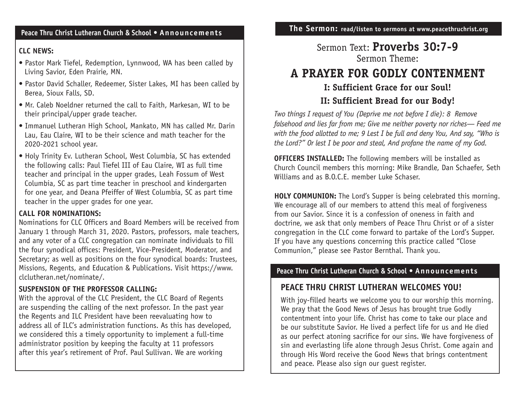#### **Peace Thru Christ Lutheran Church & School • Announcements**

#### **CLC NEWS:**

- Pastor Mark Tiefel, Redemption, Lynnwood, WA has been called by Living Savior, Eden Prairie, MN.
- Pastor David Schaller, Redeemer, Sister Lakes, MI has been called by Berea, Sioux Falls, SD.
- Mr. Caleb Noeldner returned the call to Faith, Markesan, WI to be their principal/upper grade teacher.
- Immanuel Lutheran High School, Mankato, MN has called Mr. Darin Lau, Eau Claire, WI to be their science and math teacher for the 2020-2021 school year.
- Holy Trinity Ev. Lutheran School, West Columbia, SC has extended the following calls: Paul Tiefel III of Eau Claire, WI as full time teacher and principal in the upper grades, Leah Fossum of West Columbia, SC as part time teacher in preschool and kindergarten for one year, and Deana Pfeiffer of West Columbia, SC as part time teacher in the upper grades for one year.

#### **CALL FOR NOMINATIONS:**

Nominations for CLC Officers and Board Members will be received from January 1 through March 31, 2020. Pastors, professors, male teachers, and any voter of a CLC congregation can nominate individuals to fill the four synodical offices: President, Vice-President, Moderator, and Secretary; as well as positions on the four synodical boards: Trustees, Missions, Regents, and Education & Publications. Visit https://www. clclutheran.net/nominate/.

#### **SUSPENSION OF THE PROFESSOR CALLING:**

With the approval of the CLC President, the CLC Board of Regents are suspending the calling of the next professor. In the past year the Regents and ILC President have been reevaluating how to address all of ILC's administration functions. As this has developed, we considered this a timely opportunity to implement a full-time administrator position by keeping the faculty at 11 professors after this year's retirement of Prof. Paul Sullivan. We are working

**The Sermon: read/listen to sermons at www.peacethruchrist.org**

## Sermon Text: **Proverbs 30:7-9** Sermon Theme:

# **A PRAYER FOR GODLY CONTENMENT**

### **I: Sufficient Grace for our Soul!**

#### **II: Sufficient Bread for our Body!**

*Two things I request of You (Deprive me not before I die): 8 Remove falsehood and lies far from me; Give me neither poverty nor riches— Feed me with the food allotted to me; 9 Lest I be full and deny You, And say, "Who is the Lord?" Or lest I be poor and steal, And profane the name of my God.*

**OFFICERS INSTALLED:** The following members will be installed as Church Council members this morning: Mike Brandle, Dan Schaefer, Seth Williams and as B.O.C.E. member Luke Schaser.

**HOLY COMMUNION:** The Lord's Supper is being celebrated this morning. We encourage all of our members to attend this meal of forgiveness from our Savior. Since it is a confession of oneness in faith and doctrine, we ask that only members of Peace Thru Christ or of a sister congregation in the CLC come forward to partake of the Lord's Supper. If you have any questions concerning this practice called "Close Communion," please see Pastor Bernthal. Thank you.

#### **Peace Thru Christ Lutheran Church & School • Announcements**

### **PEACE THRU CHRIST LUTHERAN WELCOMES YOU!**

With joy-filled hearts we welcome you to our worship this morning. We pray that the Good News of Jesus has brought true Godly contentment into your life. Christ has come to take our place and be our substitute Savior. He lived a perfect life for us and He died as our perfect atoning sacrifice for our sins. We have forgiveness of sin and everlasting life alone through Jesus Christ. Come again and through His Word receive the Good News that brings contentment and peace. Please also sign our guest register.